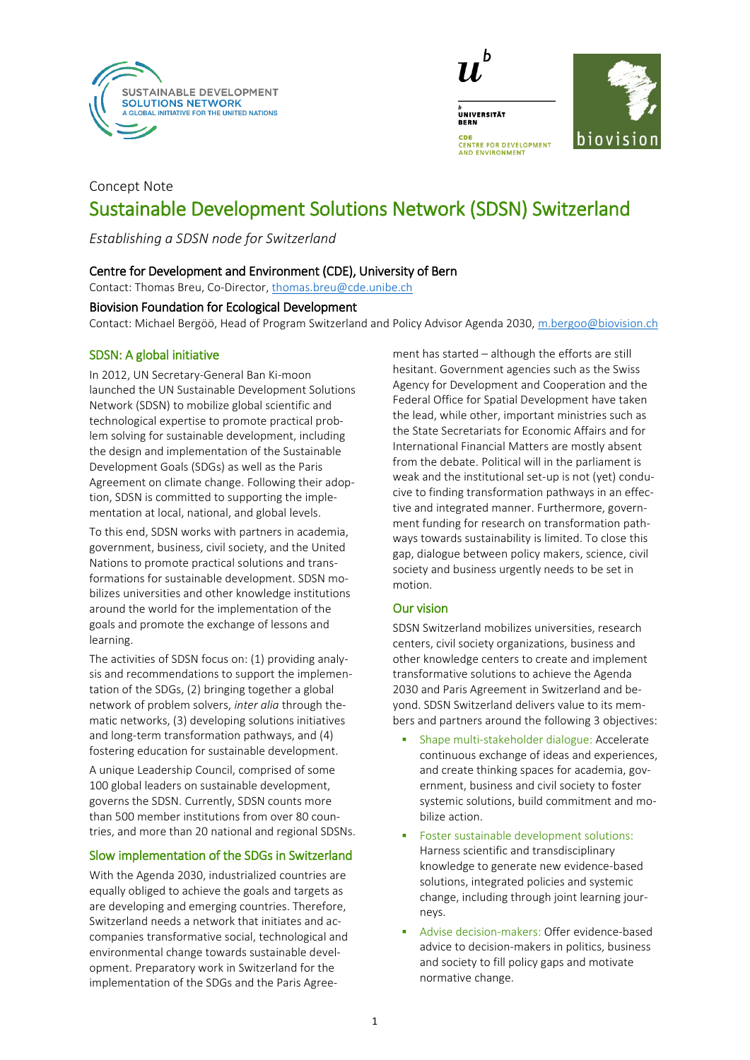



# Concept Note Sustainable Development Solutions Network (SDSN) Switzerland

*Establishing a SDSN node for Switzerland*

## Centre for Development and Environment (CDE), University of Bern

Contact: Thomas Breu, Co-Director, [thomas.breu@cde.unibe.ch](mailto:thomas.breu@cde.unibe.ch)

### Biovision Foundation for Ecological Development

Contact: Michael Bergöö, Head of Program Switzerland and Policy Advisor Agenda 2030, [m.bergoo@biovision.ch](mailto:m.bergoo@biovision.ch)

### SDSN: A global initiative

In 2012, UN Secretary-General Ban Ki-moon launched the UN Sustainable Development Solutions Network (SDSN) to mobilize global scientific and technological expertise to promote practical problem solving for sustainable development, including the design and implementation of the Sustainable Development Goals (SDGs) as well as the Paris Agreement on climate change. Following their adoption, SDSN is committed to supporting the implementation at local, national, and global levels.

To this end, SDSN works with partners in academia, government, business, civil society, and the United Nations to promote practical solutions and transformations for sustainable development. SDSN mobilizes universities and other knowledge institutions around the world for the implementation of the goals and promote the exchange of lessons and learning.

The activities of SDSN focus on: (1) providing analysis and recommendations to support the implementation of the SDGs, (2) bringing together a global network of problem solvers, *inter alia* through thematic networks, (3) developing solutions initiatives and long-term transformation pathways, and (4) fostering education for sustainable development.

A unique Leadership Council, comprised of some 100 global leaders on sustainable development, governs the SDSN. Currently, SDSN counts more than 500 member institutions from over 80 countries, and more than 20 national and regional SDSNs.

# Slow implementation of the SDGs in Switzerland

With the Agenda 2030, industrialized countries are equally obliged to achieve the goals and targets as are developing and emerging countries. Therefore, Switzerland needs a network that initiates and accompanies transformative social, technological and environmental change towards sustainable development. Preparatory work in Switzerland for the implementation of the SDGs and the Paris Agreement has started – although the efforts are still hesitant. Government agencies such as the Swiss Agency for Development and Cooperation and the Federal Office for Spatial Development have taken the lead, while other, important ministries such as the State Secretariats for Economic Affairs and for International Financial Matters are mostly absent from the debate. Political will in the parliament is weak and the institutional set-up is not (yet) conducive to finding transformation pathways in an effective and integrated manner. Furthermore, government funding for research on transformation pathways towards sustainability is limited. To close this gap, dialogue between policy makers, science, civil society and business urgently needs to be set in motion.

# Our vision

SDSN Switzerland mobilizes universities, research centers, civil society organizations, business and other knowledge centers to create and implement transformative solutions to achieve the Agenda 2030 and Paris Agreement in Switzerland and beyond. SDSN Switzerland delivers value to its members and partners around the following 3 objectives:

- Shape multi-stakeholder dialogue: Accelerate continuous exchange of ideas and experiences, and create thinking spaces for academia, government, business and civil society to foster systemic solutions, build commitment and mobilize action.
- Foster sustainable development solutions: Harness scientific and transdisciplinary knowledge to generate new evidence-based solutions, integrated policies and systemic change, including through joint learning journeys.
- Advise decision-makers: Offer evidence-based advice to decision-makers in politics, business and society to fill policy gaps and motivate normative change.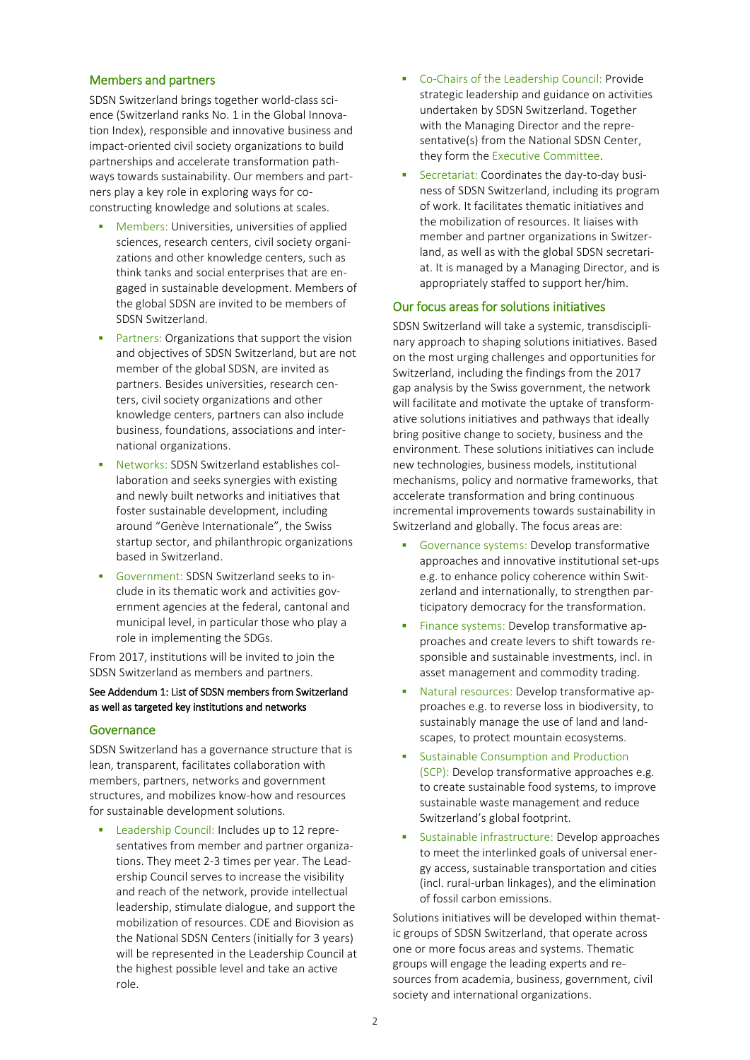### Members and partners

SDSN Switzerland brings together world-class science (Switzerland ranks No. 1 in the Global Innovation Index), responsible and innovative business and impact-oriented civil society organizations to build partnerships and accelerate transformation pathways towards sustainability. Our members and partners play a key role in exploring ways for coconstructing knowledge and solutions at scales.

- Members: Universities, universities of applied sciences, research centers, civil society organizations and other knowledge centers, such as think tanks and social enterprises that are engaged in sustainable development. Members of the global SDSN are invited to be members of SDSN Switzerland.
- Partners: Organizations that support the vision and objectives of SDSN Switzerland, but are not member of the global SDSN, are invited as partners. Besides universities, research centers, civil society organizations and other knowledge centers, partners can also include business, foundations, associations and international organizations.
- Networks: SDSN Switzerland establishes collaboration and seeks synergies with existing and newly built networks and initiatives that foster sustainable development, including around "Genève Internationale", the Swiss startup sector, and philanthropic organizations based in Switzerland.
- Government: SDSN Switzerland seeks to include in its thematic work and activities government agencies at the federal, cantonal and municipal level, in particular those who play a role in implementing the SDGs.

From 2017, institutions will be invited to join the SDSN Switzerland as members and partners.

### See Addendum 1: List of SDSN members from Switzerland as well as targeted key institutions and networks

#### **Governance**

SDSN Switzerland has a governance structure that is lean, transparent, facilitates collaboration with members, partners, networks and government structures, and mobilizes know-how and resources for sustainable development solutions.

 Leadership Council: Includes up to 12 representatives from member and partner organizations. They meet 2-3 times per year. The Leadership Council serves to increase the visibility and reach of the network, provide intellectual leadership, stimulate dialogue, and support the mobilization of resources. CDE and Biovision as the National SDSN Centers (initially for 3 years) will be represented in the Leadership Council at the highest possible level and take an active role.

- Co-Chairs of the Leadership Council: Provide strategic leadership and guidance on activities undertaken by SDSN Switzerland. Together with the Managing Director and the representative(s) from the National SDSN Center, they form the Executive Committee.
- Secretariat: Coordinates the day-to-day business of SDSN Switzerland, including its program of work. It facilitates thematic initiatives and the mobilization of resources. It liaises with member and partner organizations in Switzerland, as well as with the global SDSN secretariat. It is managed by a Managing Director, and is appropriately staffed to support her/him.

### Our focus areas for solutions initiatives

SDSN Switzerland will take a systemic, transdisciplinary approach to shaping solutions initiatives. Based on the most urging challenges and opportunities for Switzerland, including the findings from the 2017 gap analysis by the Swiss government, the network will facilitate and motivate the uptake of transformative solutions initiatives and pathways that ideally bring positive change to society, business and the environment. These solutions initiatives can include new technologies, business models, institutional mechanisms, policy and normative frameworks, that accelerate transformation and bring continuous incremental improvements towards sustainability in Switzerland and globally. The focus areas are:

- Governance systems: Develop transformative approaches and innovative institutional set-ups e.g. to enhance policy coherence within Switzerland and internationally, to strengthen participatory democracy for the transformation.
- Finance systems: Develop transformative approaches and create levers to shift towards responsible and sustainable investments, incl. in asset management and commodity trading.
- Natural resources: Develop transformative approaches e.g. to reverse loss in biodiversity, to sustainably manage the use of land and landscapes, to protect mountain ecosystems.
- Sustainable Consumption and Production (SCP): Develop transformative approaches e.g. to create sustainable food systems, to improve sustainable waste management and reduce Switzerland's global footprint.
- Sustainable infrastructure: Develop approaches to meet the interlinked goals of universal energy access, sustainable transportation and cities (incl. rural-urban linkages), and the elimination of fossil carbon emissions.

Solutions initiatives will be developed within thematic groups of SDSN Switzerland, that operate across one or more focus areas and systems. Thematic groups will engage the leading experts and resources from academia, business, government, civil society and international organizations.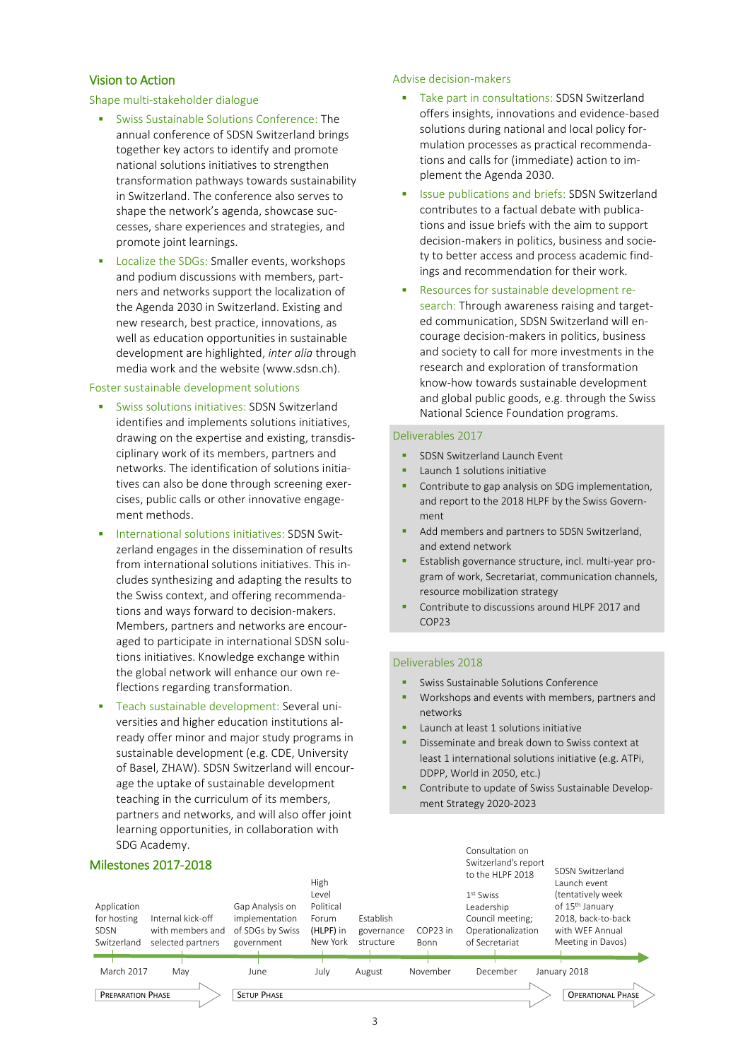### Vision to Action

### Shape multi-stakeholder dialogue

- Swiss Sustainable Solutions Conference: The annual conference of SDSN Switzerland brings together key actors to identify and promote national solutions initiatives to strengthen transformation pathways towards sustainability in Switzerland. The conference also serves to shape the network's agenda, showcase successes, share experiences and strategies, and promote joint learnings.
- Localize the SDGs: Smaller events, workshops and podium discussions with members, partners and networks support the localization of the Agenda 2030 in Switzerland. Existing and new research, best practice, innovations, as well as education opportunities in sustainable development are highlighted, *inter alia* through media work and the website (www.sdsn.ch).

### Foster sustainable development solutions

- Swiss solutions initiatives: SDSN Switzerland identifies and implements solutions initiatives, drawing on the expertise and existing, transdisciplinary work of its members, partners and networks. The identification of solutions initiatives can also be done through screening exercises, public calls or other innovative engagement methods.
- International solutions initiatives: SDSN Switzerland engages in the dissemination of results from international solutions initiatives. This includes synthesizing and adapting the results to the Swiss context, and offering recommendations and ways forward to decision-makers. Members, partners and networks are encouraged to participate in international SDSN solutions initiatives. Knowledge exchange within the global network will enhance our own reflections regarding transformation.
- Teach sustainable development: Several universities and higher education institutions already offer minor and major study programs in sustainable development (e.g. CDE, University of Basel, ZHAW). SDSN Switzerland will encourage the uptake of sustainable development teaching in the curriculum of its members, partners and networks, and will also offer joint learning opportunities, in collaboration with SDG Academy.

### Advise decision-makers

- Take part in consultations: SDSN Switzerland offers insights, innovations and evidence-based solutions during national and local policy formulation processes as practical recommendations and calls for (immediate) action to implement the Agenda 2030.
- Issue publications and briefs: SDSN Switzerland contributes to a factual debate with publications and issue briefs with the aim to support decision-makers in politics, business and society to better access and process academic findings and recommendation for their work.
- Resources for sustainable development research: Through awareness raising and targeted communication, SDSN Switzerland will encourage decision-makers in politics, business and society to call for more investments in the research and exploration of transformation know-how towards sustainable development and global public goods, e.g. through the Swiss National Science Foundation programs.

### Deliverables 2017

- **SDSN Switzerland Launch Event**
- Launch 1 solutions initiative
- Contribute to gap analysis on SDG implementation, and report to the 2018 HLPF by the Swiss Government
- Add members and partners to SDSN Switzerland, and extend network
- Establish governance structure, incl. multi-year program of work, Secretariat, communication channels, resource mobilization strategy
- Contribute to discussions around HLPF 2017 and COP23

### Deliverables 2018

- Swiss Sustainable Solutions Conference
- Workshops and events with members, partners and networks
- Launch at least 1 solutions initiative
- Disseminate and break down to Swiss context at least 1 international solutions initiative (e.g. ATPi, DDPP, World in 2050, etc.)
- Contribute to update of Swiss Sustainable Development Strategy 2020-2023

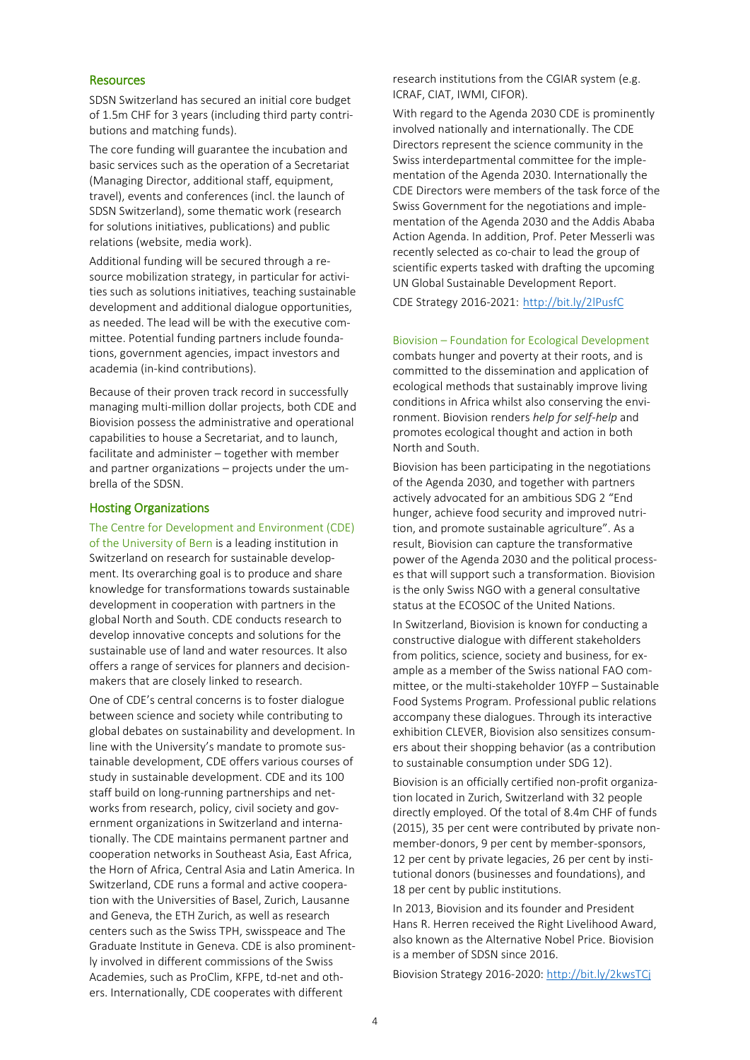### **Resources**

SDSN Switzerland has secured an initial core budget of 1.5m CHF for 3 years (including third party contributions and matching funds).

The core funding will guarantee the incubation and basic services such as the operation of a Secretariat (Managing Director, additional staff, equipment, travel), events and conferences (incl. the launch of SDSN Switzerland), some thematic work (research for solutions initiatives, publications) and public relations (website, media work).

Additional funding will be secured through a resource mobilization strategy, in particular for activities such as solutions initiatives, teaching sustainable development and additional dialogue opportunities, as needed. The lead will be with the executive committee. Potential funding partners include foundations, government agencies, impact investors and academia (in-kind contributions).

Because of their proven track record in successfully managing multi-million dollar projects, both CDE and Biovision possess the administrative and operational capabilities to house a Secretariat, and to launch, facilitate and administer – together with member and partner organizations – projects under the umbrella of the SDSN.

#### Hosting Organizations

The Centre for Development and Environment (CDE) of the University of Bern is a leading institution in Switzerland on research for sustainable development. Its overarching goal is to produce and share knowledge for transformations towards sustainable development in cooperation with partners in the global North and South. CDE conducts research to develop innovative concepts and solutions for the sustainable use of land and water resources. It also offers a range of services for planners and decisionmakers that are closely linked to research.

One of CDE's central concerns is to foster dialogue between science and society while contributing to global debates on sustainability and development. In line with the University's mandate to promote sustainable development, CDE offers various courses of study in sustainable development. CDE and its 100 staff build on long-running partnerships and networks from research, policy, civil society and government organizations in Switzerland and internationally. The CDE maintains permanent partner and cooperation networks in Southeast Asia, East Africa, the Horn of Africa, Central Asia and Latin America. In Switzerland, CDE runs a formal and active cooperation with the Universities of Basel, Zurich, Lausanne and Geneva, the ETH Zurich, as well as research centers such as the Swiss TPH, swisspeace and The Graduate Institute in Geneva. CDE is also prominently involved in different commissions of the Swiss Academies, such as ProClim, KFPE, td-net and others. Internationally, CDE cooperates with different

research institutions from the CGIAR system (e.g. ICRAF, CIAT, IWMI, CIFOR).

With regard to the Agenda 2030 CDE is prominently involved nationally and internationally. The CDE Directors represent the science community in the Swiss interdepartmental committee for the implementation of the Agenda 2030. Internationally the CDE Directors were members of the task force of the Swiss Government for the negotiations and implementation of the Agenda 2030 and the Addis Ababa Action Agenda. In addition, Prof. Peter Messerli was recently selected as co-chair to lead the group of scientific experts tasked with drafting the upcoming UN Global Sustainable Development Report.

CDE Strategy 2016-2021: <http://bit.ly/2lPusfC>

#### Biovision – Foundation for Ecological Development

combats hunger and poverty at their roots, and is committed to the dissemination and application of ecological methods that sustainably improve living conditions in Africa whilst also conserving the environment. Biovision renders *help for self-help* and promotes ecological thought and action in both North and South.

Biovision has been participating in the negotiations of the Agenda 2030, and together with partners actively advocated for an ambitious SDG 2 "End hunger, achieve food security and improved nutrition, and promote sustainable agriculture". As a result, Biovision can capture the transformative power of the Agenda 2030 and the political processes that will support such a transformation. Biovision is the only Swiss NGO with a general consultative status at the ECOSOC of the United Nations.

In Switzerland, Biovision is known for conducting a constructive dialogue with different stakeholders from politics, science, society and business, for example as a member of the Swiss national FAO committee, or the multi-stakeholder 10YFP – Sustainable Food Systems Program. Professional public relations accompany these dialogues. Through its interactive exhibition CLEVER, Biovision also sensitizes consumers about their shopping behavior (as a contribution to sustainable consumption under SDG 12).

Biovision is an officially certified non-profit organization located in Zurich, Switzerland with 32 people directly employed. Of the total of 8.4m CHF of funds (2015), 35 per cent were contributed by private nonmember-donors, 9 per cent by member-sponsors, 12 per cent by private legacies, 26 per cent by institutional donors (businesses and foundations), and 18 per cent by public institutions.

In 2013, Biovision and its founder and President Hans R. Herren received the Right Livelihood Award, also known as the Alternative Nobel Price. Biovision is a member of SDSN since 2016.

Biovision Strategy 2016-2020:<http://bit.ly/2kwsTCj>